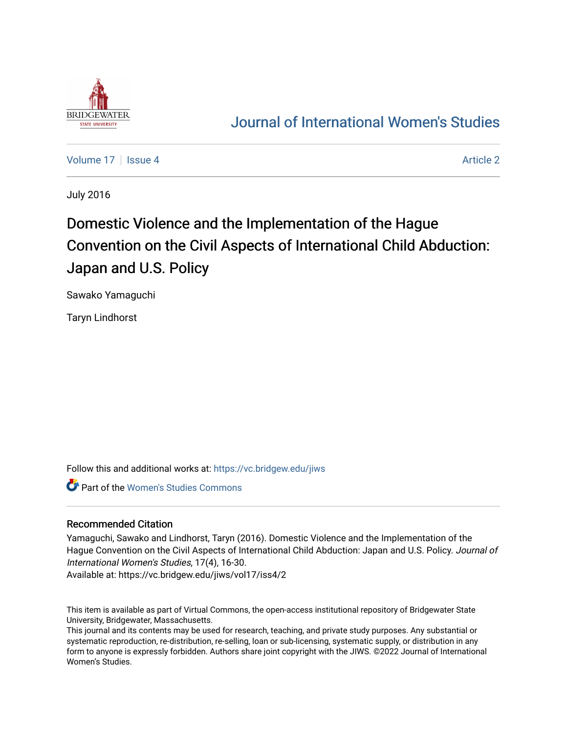

## [Journal of International Women's Studies](https://vc.bridgew.edu/jiws)

[Volume 17](https://vc.bridgew.edu/jiws/vol17) Setupate 4 [Article 2](https://vc.bridgew.edu/jiws/vol17/iss4/2) Article 2 Article 2 Article 2 Article 2

July 2016

# Domestic Violence and the Implementation of the Hague Convention on the Civil Aspects of International Child Abduction: Japan and U.S. Policy

Sawako Yamaguchi

Taryn Lindhorst

Follow this and additional works at: [https://vc.bridgew.edu/jiws](https://vc.bridgew.edu/jiws?utm_source=vc.bridgew.edu%2Fjiws%2Fvol17%2Fiss4%2F2&utm_medium=PDF&utm_campaign=PDFCoverPages)

**Part of the Women's Studies Commons** 

#### Recommended Citation

Yamaguchi, Sawako and Lindhorst, Taryn (2016). Domestic Violence and the Implementation of the Hague Convention on the Civil Aspects of International Child Abduction: Japan and U.S. Policy. Journal of International Women's Studies, 17(4), 16-30.

Available at: https://vc.bridgew.edu/jiws/vol17/iss4/2

This item is available as part of Virtual Commons, the open-access institutional repository of Bridgewater State University, Bridgewater, Massachusetts.

This journal and its contents may be used for research, teaching, and private study purposes. Any substantial or systematic reproduction, re-distribution, re-selling, loan or sub-licensing, systematic supply, or distribution in any form to anyone is expressly forbidden. Authors share joint copyright with the JIWS. ©2022 Journal of International Women's Studies.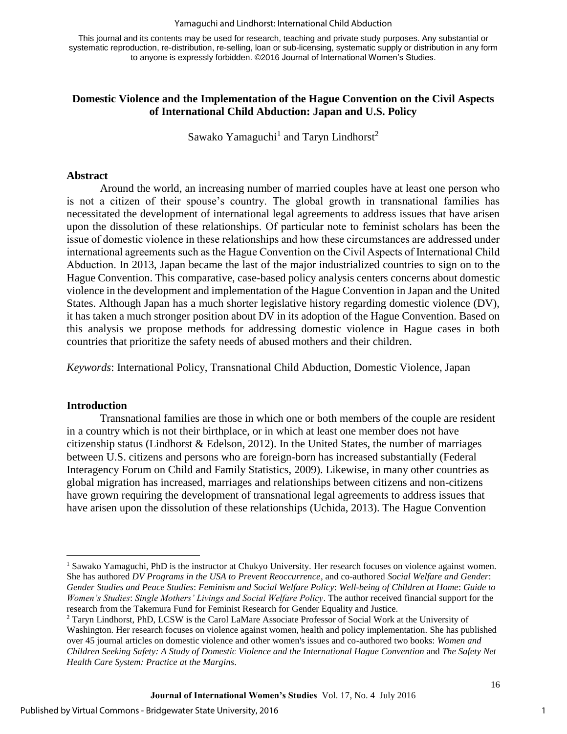#### Yamaguchi and Lindhorst: International Child Abduction

This journal and its contents may be used for research, teaching and private study purposes. Any substantial or systematic reproduction, re-distribution, re-selling, loan or sub-licensing, systematic supply or distribution in any form to anyone is expressly forbidden. ©2016 Journal of International Women's Studies.

## **Domestic Violence and the Implementation of the Hague Convention on the Civil Aspects of International Child Abduction: Japan and U.S. Policy**

Sawako Yamaguchi<sup>1</sup> and Taryn Lindhorst<sup>2</sup>

#### **Abstract**

Around the world, an increasing number of married couples have at least one person who is not a citizen of their spouse's country. The global growth in transnational families has necessitated the development of international legal agreements to address issues that have arisen upon the dissolution of these relationships. Of particular note to feminist scholars has been the issue of domestic violence in these relationships and how these circumstances are addressed under international agreements such as the Hague Convention on the Civil Aspects of International Child Abduction. In 2013, Japan became the last of the major industrialized countries to sign on to the Hague Convention. This comparative, case-based policy analysis centers concerns about domestic violence in the development and implementation of the Hague Convention in Japan and the United States. Although Japan has a much shorter legislative history regarding domestic violence (DV), it has taken a much stronger position about DV in its adoption of the Hague Convention. Based on this analysis we propose methods for addressing domestic violence in Hague cases in both countries that prioritize the safety needs of abused mothers and their children.

*Keywords*: International Policy, Transnational Child Abduction, Domestic Violence, Japan

#### **Introduction**

 $\overline{\phantom{a}}$ 

Transnational families are those in which one or both members of the couple are resident in a country which is not their birthplace, or in which at least one member does not have citizenship status (Lindhorst & Edelson, 2012). In the United States, the number of marriages between U.S. citizens and persons who are foreign-born has increased substantially (Federal Interagency Forum on Child and Family Statistics, 2009). Likewise, in many other countries as global migration has increased, marriages and relationships between citizens and non-citizens have grown requiring the development of transnational legal agreements to address issues that have arisen upon the dissolution of these relationships (Uchida, 2013). The Hague Convention

1

<sup>&</sup>lt;sup>1</sup> Sawako Yamaguchi, PhD is the instructor at Chukyo University. Her research focuses on violence against women. She has authored *DV Programs in the USA to Prevent Reoccurrence*, and co-authored *Social Welfare and Gender*: *Gender Studies and Peace Studies*: *Feminism and Social Welfare Policy*: *Well-being of Children at Home*: *Guide to Women's Studies*: *Single Mothers' Livings and Social Welfare Policy*. The author received financial support for the research from the Takemura Fund for Feminist Research for Gender Equality and Justice.

<sup>&</sup>lt;sup>2</sup> Taryn Lindhorst, PhD, LCSW is the Carol LaMare Associate Professor of Social Work at the University of Washington. Her research focuses on violence against women, health and policy implementation. She has published over 45 journal articles on domestic violence and other women's issues and co-authored two books: *Women and Children Seeking Safety: A Study of Domestic Violence and the International Hague Convention* and *The Safety Net Health Care System: Practice at the Margins*.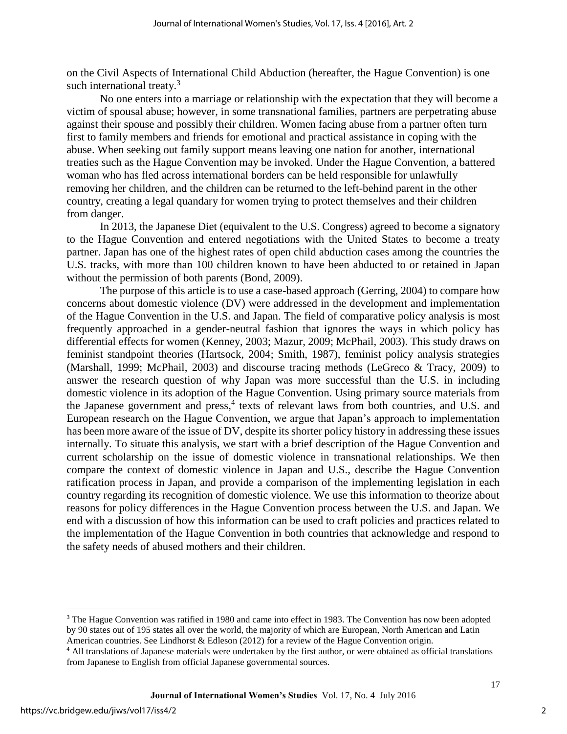on the Civil Aspects of International Child Abduction (hereafter, the Hague Convention) is one such international treaty.<sup>3</sup>

No one enters into a marriage or relationship with the expectation that they will become a victim of spousal abuse; however, in some transnational families, partners are perpetrating abuse against their spouse and possibly their children. Women facing abuse from a partner often turn first to family members and friends for emotional and practical assistance in coping with the abuse. When seeking out family support means leaving one nation for another, international treaties such as the Hague Convention may be invoked. Under the Hague Convention, a battered woman who has fled across international borders can be held responsible for unlawfully removing her children, and the children can be returned to the left-behind parent in the other country, creating a legal quandary for women trying to protect themselves and their children from danger.

In 2013, the Japanese Diet (equivalent to the U.S. Congress) agreed to become a signatory to the Hague Convention and entered negotiations with the United States to become a treaty partner. Japan has one of the highest rates of open child abduction cases among the countries the U.S. tracks, with more than 100 children known to have been abducted to or retained in Japan without the permission of both parents (Bond, 2009).

The purpose of this article is to use a case-based approach (Gerring, 2004) to compare how concerns about domestic violence (DV) were addressed in the development and implementation of the Hague Convention in the U.S. and Japan. The field of comparative policy analysis is most frequently approached in a gender-neutral fashion that ignores the ways in which policy has differential effects for women (Kenney, 2003; Mazur, 2009; McPhail, 2003). This study draws on feminist standpoint theories (Hartsock, 2004; Smith, 1987), feminist policy analysis strategies (Marshall, 1999; McPhail, 2003) and discourse tracing methods (LeGreco & Tracy, 2009) to answer the research question of why Japan was more successful than the U.S. in including domestic violence in its adoption of the Hague Convention. Using primary source materials from the Japanese government and press,<sup>4</sup> texts of relevant laws from both countries, and U.S. and European research on the Hague Convention, we argue that Japan's approach to implementation has been more aware of the issue of DV, despite its shorter policy history in addressing these issues internally. To situate this analysis, we start with a brief description of the Hague Convention and current scholarship on the issue of domestic violence in transnational relationships. We then compare the context of domestic violence in Japan and U.S., describe the Hague Convention ratification process in Japan, and provide a comparison of the implementing legislation in each country regarding its recognition of domestic violence. We use this information to theorize about reasons for policy differences in the Hague Convention process between the U.S. and Japan. We end with a discussion of how this information can be used to craft policies and practices related to the implementation of the Hague Convention in both countries that acknowledge and respond to the safety needs of abused mothers and their children.

 $\overline{a}$ 

2

<sup>&</sup>lt;sup>3</sup> The Hague Convention was ratified in 1980 and came into effect in 1983. The Convention has now been adopted by 90 states out of 195 states all over the world, the majority of which are European, North American and Latin American countries. See Lindhorst & Edleson (2012) for a review of the Hague Convention origin.

<sup>4</sup> All translations of Japanese materials were undertaken by the first author, or were obtained as official translations from Japanese to English from official Japanese governmental sources.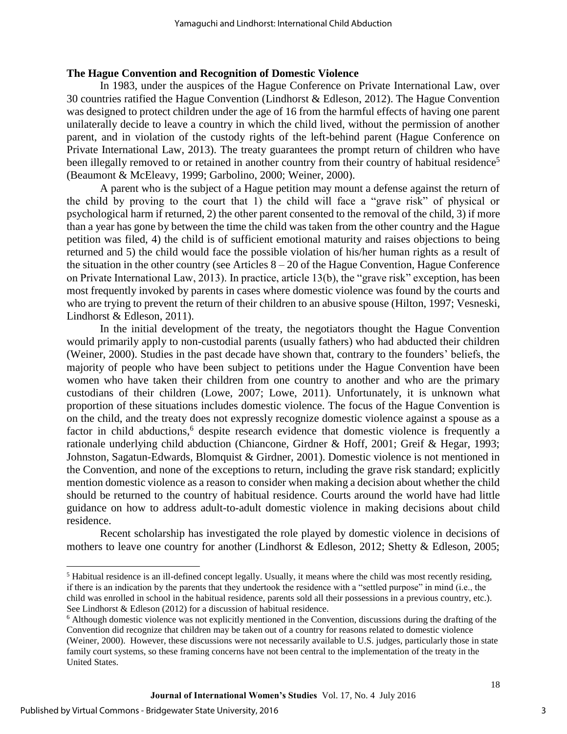## **The Hague Convention and Recognition of Domestic Violence**

In 1983, under the auspices of the Hague Conference on Private International Law, over 30 countries ratified the Hague Convention (Lindhorst & Edleson, 2012). The Hague Convention was designed to protect children under the age of 16 from the harmful effects of having one parent unilaterally decide to leave a country in which the child lived, without the permission of another parent, and in violation of the custody rights of the left-behind parent (Hague Conference on Private International Law, 2013). The treaty guarantees the prompt return of children who have been illegally removed to or retained in another country from their country of habitual residence<sup>5</sup> (Beaumont & McEleavy, 1999; Garbolino, 2000; Weiner, 2000).

A parent who is the subject of a Hague petition may mount a defense against the return of the child by proving to the court that 1) the child will face a "grave risk" of physical or psychological harm if returned, 2) the other parent consented to the removal of the child, 3) if more than a year has gone by between the time the child was taken from the other country and the Hague petition was filed, 4) the child is of sufficient emotional maturity and raises objections to being returned and 5) the child would face the possible violation of his/her human rights as a result of the situation in the other country (see Articles  $8 - 20$  of the Hague Convention, Hague Conference on Private International Law, 2013). In practice, article 13(b), the "grave risk" exception, has been most frequently invoked by parents in cases where domestic violence was found by the courts and who are trying to prevent the return of their children to an abusive spouse (Hilton, 1997; Vesneski, Lindhorst & Edleson, 2011).

In the initial development of the treaty, the negotiators thought the Hague Convention would primarily apply to non-custodial parents (usually fathers) who had abducted their children (Weiner, 2000). Studies in the past decade have shown that, contrary to the founders' beliefs, the majority of people who have been subject to petitions under the Hague Convention have been women who have taken their children from one country to another and who are the primary custodians of their children (Lowe, 2007; Lowe, 2011). Unfortunately, it is unknown what proportion of these situations includes domestic violence. The focus of the Hague Convention is on the child, and the treaty does not expressly recognize domestic violence against a spouse as a factor in child abductions,<sup>6</sup> despite research evidence that domestic violence is frequently a rationale underlying child abduction (Chiancone, Girdner & Hoff, 2001; Greif & Hegar, 1993; Johnston, Sagatun-Edwards, Blomquist & Girdner, 2001). Domestic violence is not mentioned in the Convention, and none of the exceptions to return, including the grave risk standard; explicitly mention domestic violence as a reason to consider when making a decision about whether the child should be returned to the country of habitual residence. Courts around the world have had little guidance on how to address adult-to-adult domestic violence in making decisions about child residence.

Recent scholarship has investigated the role played by domestic violence in decisions of mothers to leave one country for another (Lindhorst & Edleson, 2012; Shetty & Edleson, 2005;

 $\overline{\phantom{a}}$ 

 $<sup>5</sup>$  Habitual residence is an ill-defined concept legally. Usually, it means where the child was most recently residing,</sup> if there is an indication by the parents that they undertook the residence with a "settled purpose" in mind (i.e., the child was enrolled in school in the habitual residence, parents sold all their possessions in a previous country, etc.). See Lindhorst & Edleson (2012) for a discussion of habitual residence.

<sup>&</sup>lt;sup>6</sup> Although domestic violence was not explicitly mentioned in the Convention, discussions during the drafting of the Convention did recognize that children may be taken out of a country for reasons related to domestic violence (Weiner, 2000). However, these discussions were not necessarily available to U.S. judges, particularly those in state family court systems, so these framing concerns have not been central to the implementation of the treaty in the United States.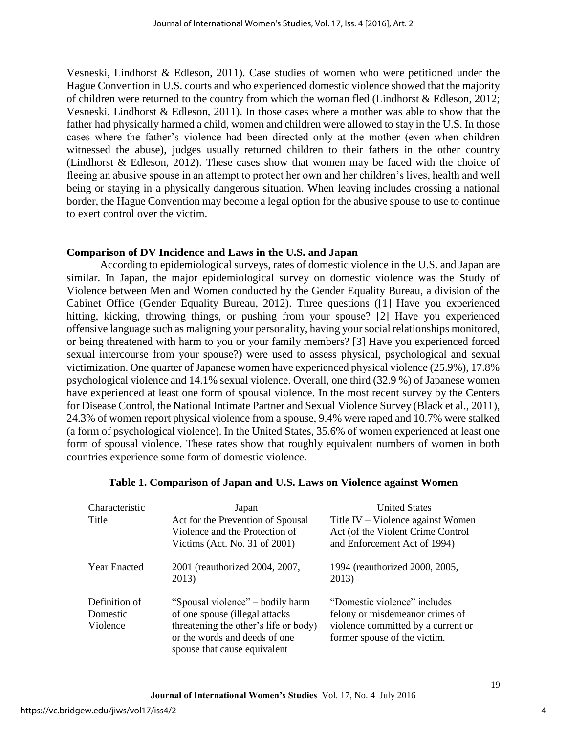Vesneski, Lindhorst & Edleson, 2011). Case studies of women who were petitioned under the Hague Convention in U.S. courts and who experienced domestic violence showed that the majority of children were returned to the country from which the woman fled (Lindhorst & Edleson, 2012; Vesneski, Lindhorst & Edleson, 2011). In those cases where a mother was able to show that the father had physically harmed a child, women and children were allowed to stay in the U.S. In those cases where the father's violence had been directed only at the mother (even when children witnessed the abuse), judges usually returned children to their fathers in the other country (Lindhorst & Edleson, 2012). These cases show that women may be faced with the choice of fleeing an abusive spouse in an attempt to protect her own and her children's lives, health and well being or staying in a physically dangerous situation. When leaving includes crossing a national border, the Hague Convention may become a legal option for the abusive spouse to use to continue to exert control over the victim.

## **Comparison of DV Incidence and Laws in the U.S. and Japan**

According to epidemiological surveys, rates of domestic violence in the U.S. and Japan are similar. In Japan, the major epidemiological survey on domestic violence was the Study of Violence between Men and Women conducted by the Gender Equality Bureau, a division of the Cabinet Office (Gender Equality Bureau, 2012). Three questions ([1] Have you experienced hitting, kicking, throwing things, or pushing from your spouse? [2] Have you experienced offensive language such as maligning your personality, having your social relationships monitored, or being threatened with harm to you or your family members? [3] Have you experienced forced sexual intercourse from your spouse?) were used to assess physical, psychological and sexual victimization. One quarter of Japanese women have experienced physical violence (25.9%), 17.8% psychological violence and 14.1% sexual violence. Overall, one third (32.9 %) of Japanese women have experienced at least one form of spousal violence. In the most recent survey by the Centers for Disease Control, the National Intimate Partner and Sexual Violence Survey (Black et al., 2011), 24.3% of women report physical violence from a spouse, 9.4% were raped and 10.7% were stalked (a form of psychological violence). In the United States, 35.6% of women experienced at least one form of spousal violence. These rates show that roughly equivalent numbers of women in both countries experience some form of domestic violence.

| Characteristic      | Japan                                   | <b>United States</b>                    |
|---------------------|-----------------------------------------|-----------------------------------------|
| Title               | Act for the Prevention of Spousal       | Title IV – Violence against Women       |
|                     | Violence and the Protection of          | Act (of the Violent Crime Control       |
|                     | Victims (Act. No. 31 of 2001)           | and Enforcement Act of 1994)            |
| <b>Year Enacted</b> | 2001 (reauthorized 2004, 2007,<br>2013) | 1994 (reauthorized 2000, 2005,<br>2013) |
| Definition of       | "Spousal violence" – bodily harm        | "Domestic violence" includes            |
| Domestic            | of one spouse (illegal attacks)         | felony or misdemeanor crimes of         |
| Violence            | threatening the other's life or body)   | violence committed by a current or      |
|                     | or the words and deeds of one           | former spouse of the victim.            |
|                     | spouse that cause equivalent            |                                         |

|  |  |  |  | Table 1. Comparison of Japan and U.S. Laws on Violence against Women |  |
|--|--|--|--|----------------------------------------------------------------------|--|
|--|--|--|--|----------------------------------------------------------------------|--|

4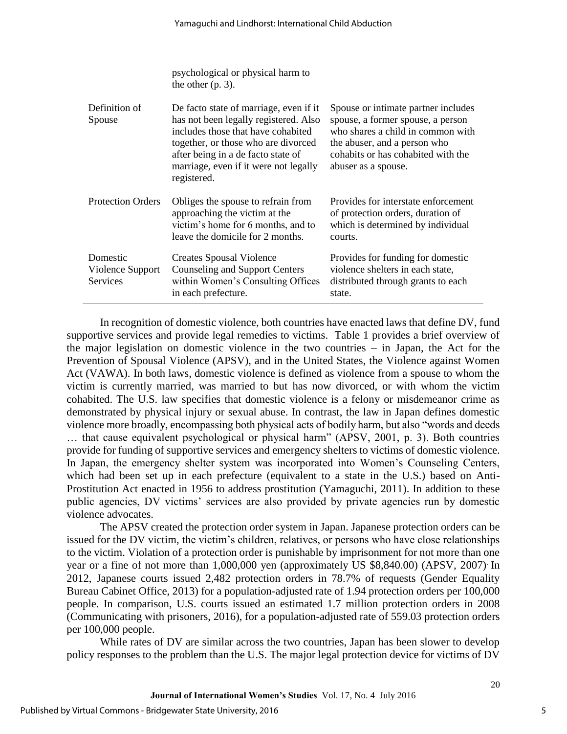|                                          | psychological or physical harm to<br>the other $(p, 3)$ .                                                                                                                                                                                                  |                                                                                                                                                                                                            |
|------------------------------------------|------------------------------------------------------------------------------------------------------------------------------------------------------------------------------------------------------------------------------------------------------------|------------------------------------------------------------------------------------------------------------------------------------------------------------------------------------------------------------|
| Definition of<br>Spouse                  | De facto state of marriage, even if it<br>has not been legally registered. Also<br>includes those that have cohabited<br>together, or those who are divorced<br>after being in a de facto state of<br>marriage, even if it were not legally<br>registered. | Spouse or intimate partner includes<br>spouse, a former spouse, a person<br>who shares a child in common with<br>the abuser, and a person who<br>cohabits or has cohabited with the<br>abuser as a spouse. |
| <b>Protection Orders</b>                 | Obliges the spouse to refrain from<br>approaching the victim at the<br>victim's home for 6 months, and to<br>leave the domicile for 2 months.                                                                                                              | Provides for interstate enforcement<br>of protection orders, duration of<br>which is determined by individual<br>courts.                                                                                   |
| Domestic<br>Violence Support<br>Services | <b>Creates Spousal Violence</b><br><b>Counseling and Support Centers</b><br>within Women's Consulting Offices<br>in each prefecture.                                                                                                                       | Provides for funding for domestic<br>violence shelters in each state,<br>distributed through grants to each<br>state.                                                                                      |

In recognition of domestic violence, both countries have enacted laws that define DV, fund supportive services and provide legal remedies to victims. Table 1 provides a brief overview of the major legislation on domestic violence in the two countries – in Japan, the Act for the Prevention of Spousal Violence (APSV), and in the United States, the Violence against Women Act (VAWA). In both laws, domestic violence is defined as violence from a spouse to whom the victim is currently married, was married to but has now divorced, or with whom the victim cohabited. The U.S. law specifies that domestic violence is a felony or misdemeanor crime as demonstrated by physical injury or sexual abuse. In contrast, the law in Japan defines domestic violence more broadly, encompassing both physical acts of bodily harm, but also "words and deeds … that cause equivalent psychological or physical harm" (APSV, 2001, p. 3). Both countries provide for funding of supportive services and emergency shelters to victims of domestic violence. In Japan, the emergency shelter system was incorporated into Women's Counseling Centers, which had been set up in each prefecture (equivalent to a state in the U.S.) based on Anti-Prostitution Act enacted in 1956 to address prostitution (Yamaguchi, 2011). In addition to these public agencies, DV victims' services are also provided by private agencies run by domestic violence advocates.

The APSV created the protection order system in Japan. Japanese protection orders can be issued for the DV victim, the victim's children, relatives, or persons who have close relationships to the victim. Violation of a protection order is punishable by imprisonment for not more than one year or a fine of not more than 1,000,000 yen (approximately US \$8,840.00) (APSV, 2007). In 2012, Japanese courts issued 2,482 protection orders in 78.7% of requests (Gender Equality Bureau Cabinet Office, 2013) for a population-adjusted rate of 1.94 protection orders per 100,000 people. In comparison, U.S. courts issued an estimated 1.7 million protection orders in 2008 (Communicating with prisoners, 2016), for a population-adjusted rate of 559.03 protection orders per 100,000 people.

While rates of DV are similar across the two countries, Japan has been slower to develop policy responses to the problem than the U.S. The major legal protection device for victims of DV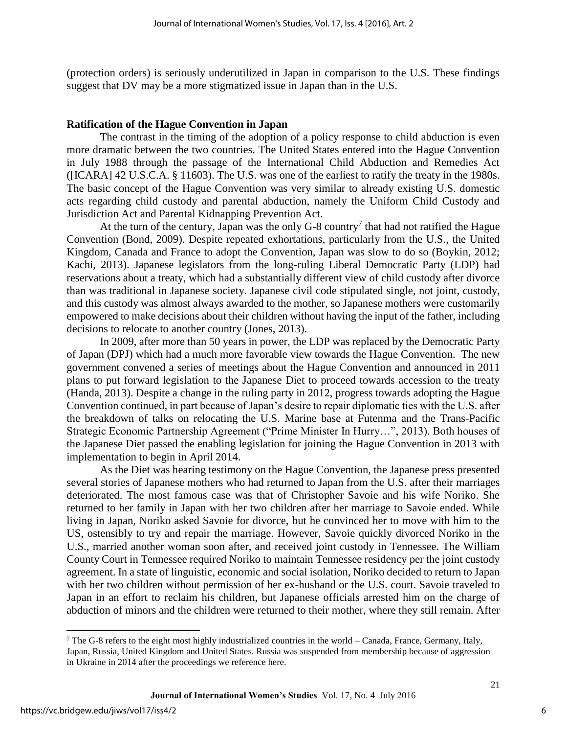(protection orders) is seriously underutilized in Japan in comparison to the U.S. These findings suggest that DV may be a more stigmatized issue in Japan than in the U.S.

#### **Ratification of the Hague Convention in Japan**

 The contrast in the timing of the adoption of a policy response to child abduction is even more dramatic between the two countries. The United States entered into the Hague Convention in July 1988 through the passage of the International Child Abduction and Remedies Act ([ICARA] 42 U.S.C.A. § 11603). The U.S. was one of the earliest to ratify the treaty in the 1980s. The basic concept of the Hague Convention was very similar to already existing U.S. domestic acts regarding child custody and parental abduction, namely the Uniform Child Custody and Jurisdiction Act and Parental Kidnapping Prevention Act.

At the turn of the century, Japan was the only  $G-8$  country<sup>7</sup> that had not ratified the Hague Convention (Bond, 2009). Despite repeated exhortations, particularly from the U.S., the United Kingdom, Canada and France to adopt the Convention, Japan was slow to do so (Boykin, 2012; Kachi, 2013). Japanese legislators from the long-ruling Liberal Democratic Party (LDP) had reservations about a treaty, which had a substantially different view of child custody after divorce than was traditional in Japanese society. Japanese civil code stipulated single, not joint, custody, and this custody was almost always awarded to the mother, so Japanese mothers were customarily empowered to make decisions about their children without having the input of the father, including decisions to relocate to another country (Jones, 2013).

 In 2009, after more than 50 years in power, the LDP was replaced by the Democratic Party of Japan (DPJ) which had a much more favorable view towards the Hague Convention. The new government convened a series of meetings about the Hague Convention and announced in 2011 plans to put forward legislation to the Japanese Diet to proceed towards accession to the treaty (Handa, 2013). Despite a change in the ruling party in 2012, progress towards adopting the Hague Convention continued, in part because of Japan's desire to repair diplomatic ties with the U.S. after the breakdown of talks on relocating the U.S. Marine base at Futenma and the Trans-Pacific Strategic Economic Partnership Agreement ("Prime Minister In Hurry…", 2013). Both houses of the Japanese Diet passed the enabling legislation for joining the Hague Convention in 2013 with implementation to begin in April 2014.

 As the Diet was hearing testimony on the Hague Convention, the Japanese press presented several stories of Japanese mothers who had returned to Japan from the U.S. after their marriages deteriorated. The most famous case was that of Christopher Savoie and his wife Noriko. She returned to her family in Japan with her two children after her marriage to Savoie ended. While living in Japan, Noriko asked Savoie for divorce, but he convinced her to move with him to the US, ostensibly to try and repair the marriage. However, Savoie quickly divorced Noriko in the U.S., married another woman soon after, and received joint custody in Tennessee. The William County Court in Tennessee required Noriko to maintain Tennessee residency per the joint custody agreement. In a state of linguistic, economic and social isolation, Noriko decided to return to Japan with her two children without permission of her ex-husband or the U.S. court. Savoie traveled to Japan in an effort to reclaim his children, but Japanese officials arrested him on the charge of abduction of minors and the children were returned to their mother, where they still remain. After

 $\overline{\phantom{a}}$ 

6

 $^7$  The G-8 refers to the eight most highly industrialized countries in the world – Canada, France, Germany, Italy, Japan, Russia, United Kingdom and United States. Russia was suspended from membership because of aggression in Ukraine in 2014 after the proceedings we reference here.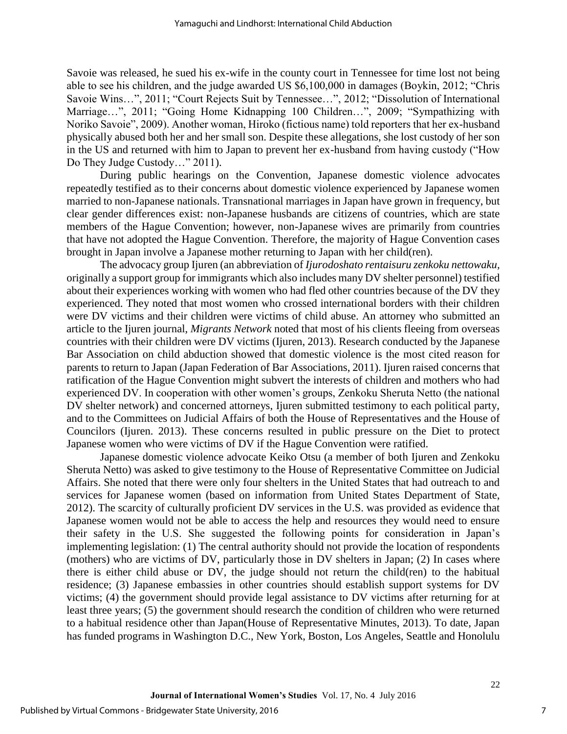Savoie was released, he sued his ex-wife in the county court in Tennessee for time lost not being able to see his children, and the judge awarded US \$6,100,000 in damages (Boykin, 2012; "Chris Savoie Wins…", 2011; "Court Rejects Suit by Tennessee…", 2012; "Dissolution of International Marriage…", 2011; "Going Home Kidnapping 100 Children…", 2009; "Sympathizing with Noriko Savoie", 2009). Another woman, Hiroko (fictious name) told reporters that her ex-husband physically abused both her and her small son. Despite these allegations, she lost custody of her son in the US and returned with him to Japan to prevent her ex-husband from having custody ("How Do They Judge Custody…" 2011).

During public hearings on the Convention, Japanese domestic violence advocates repeatedly testified as to their concerns about domestic violence experienced by Japanese women married to non-Japanese nationals. Transnational marriages in Japan have grown in frequency, but clear gender differences exist: non-Japanese husbands are citizens of countries, which are state members of the Hague Convention; however, non-Japanese wives are primarily from countries that have not adopted the Hague Convention. Therefore, the majority of Hague Convention cases brought in Japan involve a Japanese mother returning to Japan with her child(ren).

The advocacy group Ijuren (an abbreviation of *Ijurodoshato rentaisuru zenkoku nettowaku,* originally a support group for immigrants which also includes many DV shelter personnel) testified about their experiences working with women who had fled other countries because of the DV they experienced. They noted that most women who crossed international borders with their children were DV victims and their children were victims of child abuse. An attorney who submitted an article to the Ijuren journal, *Migrants Network* noted that most of his clients fleeing from overseas countries with their children were DV victims (Ijuren, 2013). Research conducted by the Japanese Bar Association on child abduction showed that domestic violence is the most cited reason for parents to return to Japan (Japan Federation of Bar Associations, 2011). Ijuren raised concerns that ratification of the Hague Convention might subvert the interests of children and mothers who had experienced DV. In cooperation with other women's groups, Zenkoku Sheruta Netto (the national DV shelter network) and concerned attorneys, Ijuren submitted testimony to each political party, and to the Committees on Judicial Affairs of both the House of Representatives and the House of Councilors (Ijuren. 2013). These concerns resulted in public pressure on the Diet to protect Japanese women who were victims of DV if the Hague Convention were ratified.

Japanese domestic violence advocate Keiko Otsu (a member of both Ijuren and Zenkoku Sheruta Netto) was asked to give testimony to the House of Representative Committee on Judicial Affairs. She noted that there were only four shelters in the United States that had outreach to and services for Japanese women (based on information from United States Department of State, 2012). The scarcity of culturally proficient DV services in the U.S. was provided as evidence that Japanese women would not be able to access the help and resources they would need to ensure their safety in the U.S. She suggested the following points for consideration in Japan's implementing legislation: (1) The central authority should not provide the location of respondents (mothers) who are victims of DV, particularly those in DV shelters in Japan; (2) In cases where there is either child abuse or DV, the judge should not return the child(ren) to the habitual residence; (3) Japanese embassies in other countries should establish support systems for DV victims; (4) the government should provide legal assistance to DV victims after returning for at least three years; (5) the government should research the condition of children who were returned to a habitual residence other than Japan(House of Representative Minutes, 2013). To date, Japan has funded programs in Washington D.C., New York, Boston, Los Angeles, Seattle and Honolulu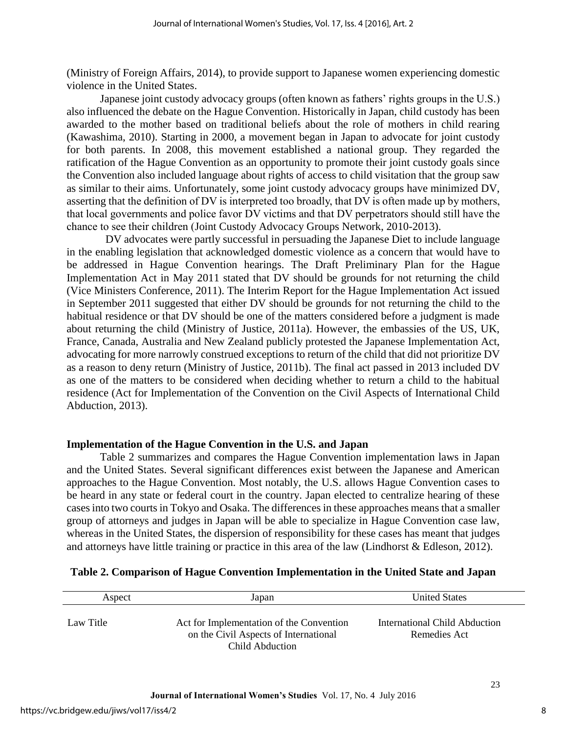(Ministry of Foreign Affairs, 2014), to provide support to Japanese women experiencing domestic violence in the United States.

Japanese joint custody advocacy groups (often known as fathers' rights groups in the U.S.) also influenced the debate on the Hague Convention. Historically in Japan, child custody has been awarded to the mother based on traditional beliefs about the role of mothers in child rearing (Kawashima, 2010). Starting in 2000, a movement began in Japan to advocate for joint custody for both parents. In 2008, this movement established a national group. They regarded the ratification of the Hague Convention as an opportunity to promote their joint custody goals since the Convention also included language about rights of access to child visitation that the group saw as similar to their aims. Unfortunately, some joint custody advocacy groups have minimized DV, asserting that the definition of DV is interpreted too broadly, that DV is often made up by mothers, that local governments and police favor DV victims and that DV perpetrators should still have the chance to see their children (Joint Custody Advocacy Groups Network, 2010-2013).

DV advocates were partly successful in persuading the Japanese Diet to include language in the enabling legislation that acknowledged domestic violence as a concern that would have to be addressed in Hague Convention hearings. The Draft Preliminary Plan for the Hague Implementation Act in May 2011 stated that DV should be grounds for not returning the child (Vice Ministers Conference, 2011). The Interim Report for the Hague Implementation Act issued in September 2011 suggested that either DV should be grounds for not returning the child to the habitual residence or that DV should be one of the matters considered before a judgment is made about returning the child (Ministry of Justice, 2011a). However, the embassies of the US, UK, France, Canada, Australia and New Zealand publicly protested the Japanese Implementation Act, advocating for more narrowly construed exceptions to return of the child that did not prioritize DV as a reason to deny return (Ministry of Justice, 2011b). The final act passed in 2013 included DV as one of the matters to be considered when deciding whether to return a child to the habitual residence (Act for Implementation of the Convention on the Civil Aspects of International Child Abduction, 2013).

## **Implementation of the Hague Convention in the U.S. and Japan**

Table 2 summarizes and compares the Hague Convention implementation laws in Japan and the United States. Several significant differences exist between the Japanese and American approaches to the Hague Convention. Most notably, the U.S. allows Hague Convention cases to be heard in any state or federal court in the country. Japan elected to centralize hearing of these cases into two courts in Tokyo and Osaka. The differences in these approaches means that a smaller group of attorneys and judges in Japan will be able to specialize in Hague Convention case law, whereas in the United States, the dispersion of responsibility for these cases has meant that judges and attorneys have little training or practice in this area of the law (Lindhorst & Edleson, 2012).

| Aspect    | Japan                                                                                                | <b>United States</b>                          |
|-----------|------------------------------------------------------------------------------------------------------|-----------------------------------------------|
| Law Title | Act for Implementation of the Convention<br>on the Civil Aspects of International<br>Child Abduction | International Child Abduction<br>Remedies Act |

## **Table 2. Comparison of Hague Convention Implementation in the United State and Japan**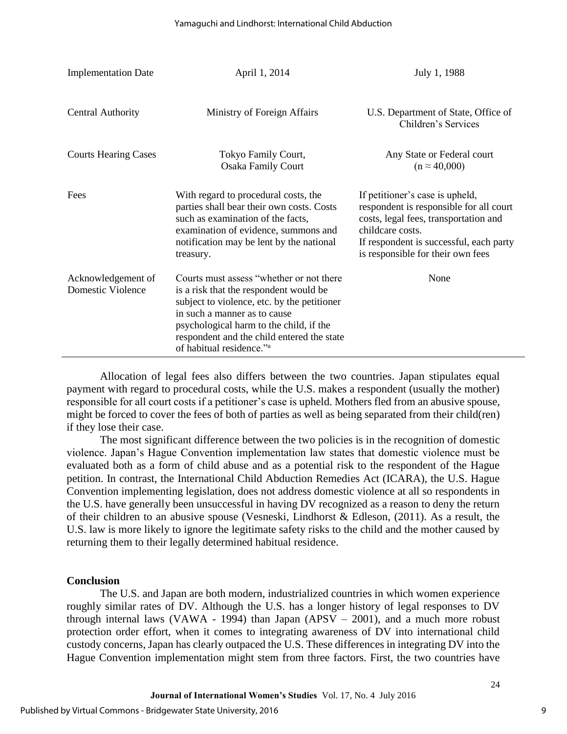| <b>Implementation Date</b>              | April 1, 2014                                                                                                                                                                                                                                                                                      | July 1, 1988                                                                                                                                                                                                            |
|-----------------------------------------|----------------------------------------------------------------------------------------------------------------------------------------------------------------------------------------------------------------------------------------------------------------------------------------------------|-------------------------------------------------------------------------------------------------------------------------------------------------------------------------------------------------------------------------|
| <b>Central Authority</b>                | Ministry of Foreign Affairs                                                                                                                                                                                                                                                                        | U.S. Department of State, Office of<br>Children's Services                                                                                                                                                              |
| <b>Courts Hearing Cases</b>             | Tokyo Family Court,<br><b>Osaka Family Court</b>                                                                                                                                                                                                                                                   | Any State or Federal court<br>$(n \approx 40,000)$                                                                                                                                                                      |
| Fees                                    | With regard to procedural costs, the<br>parties shall bear their own costs. Costs<br>such as examination of the facts,<br>examination of evidence, summons and<br>notification may be lent by the national<br>treasury.                                                                            | If petitioner's case is upheld,<br>respondent is responsible for all court<br>costs, legal fees, transportation and<br>childcare costs.<br>If respondent is successful, each party<br>is responsible for their own fees |
| Acknowledgement of<br>Domestic Violence | Courts must assess "whether or not there<br>is a risk that the respondent would be<br>subject to violence, etc. by the petitioner<br>in such a manner as to cause<br>psychological harm to the child, if the<br>respondent and the child entered the state<br>of habitual residence." <sup>a</sup> | None                                                                                                                                                                                                                    |

Allocation of legal fees also differs between the two countries. Japan stipulates equal payment with regard to procedural costs, while the U.S. makes a respondent (usually the mother) responsible for all court costs if a petitioner's case is upheld. Mothers fled from an abusive spouse, might be forced to cover the fees of both of parties as well as being separated from their child(ren) if they lose their case.

The most significant difference between the two policies is in the recognition of domestic violence. Japan's Hague Convention implementation law states that domestic violence must be evaluated both as a form of child abuse and as a potential risk to the respondent of the Hague petition. In contrast, the International Child Abduction Remedies Act (ICARA), the U.S. Hague Convention implementing legislation, does not address domestic violence at all so respondents in the U.S. have generally been unsuccessful in having DV recognized as a reason to deny the return of their children to an abusive spouse (Vesneski, Lindhorst & Edleson, (2011). As a result, the U.S. law is more likely to ignore the legitimate safety risks to the child and the mother caused by returning them to their legally determined habitual residence.

## **Conclusion**

The U.S. and Japan are both modern, industrialized countries in which women experience roughly similar rates of DV. Although the U.S. has a longer history of legal responses to DV through internal laws (VAWA - 1994) than Japan (APSV – 2001), and a much more robust protection order effort, when it comes to integrating awareness of DV into international child custody concerns, Japan has clearly outpaced the U.S. These differences in integrating DV into the Hague Convention implementation might stem from three factors. First, the two countries have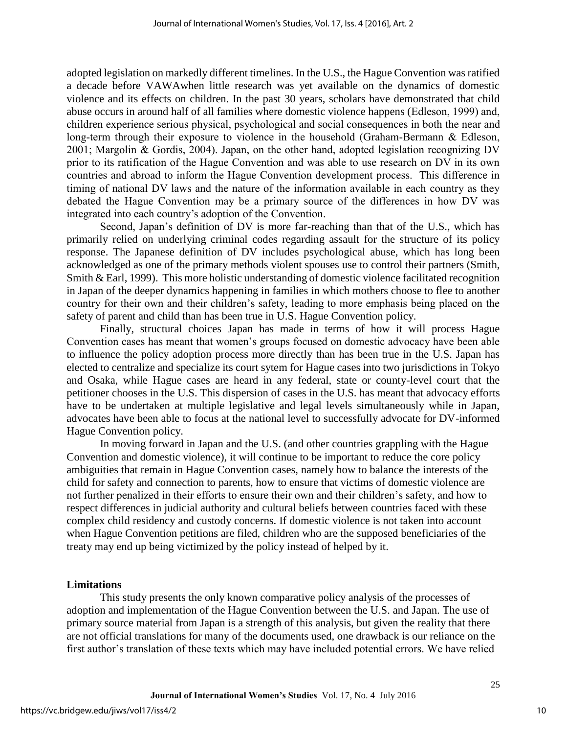adopted legislation on markedly different timelines. In the U.S., the Hague Convention was ratified a decade before VAWAwhen little research was yet available on the dynamics of domestic violence and its effects on children. In the past 30 years, scholars have demonstrated that child abuse occurs in around half of all families where domestic violence happens (Edleson, 1999) and, children experience serious physical, psychological and social consequences in both the near and long-term through their exposure to violence in the household (Graham-Bermann & Edleson, 2001; Margolin & Gordis, 2004). Japan, on the other hand, adopted legislation recognizing DV prior to its ratification of the Hague Convention and was able to use research on DV in its own countries and abroad to inform the Hague Convention development process. This difference in timing of national DV laws and the nature of the information available in each country as they debated the Hague Convention may be a primary source of the differences in how DV was integrated into each country's adoption of the Convention.

Second, Japan's definition of DV is more far-reaching than that of the U.S., which has primarily relied on underlying criminal codes regarding assault for the structure of its policy response. The Japanese definition of DV includes psychological abuse, which has long been acknowledged as one of the primary methods violent spouses use to control their partners (Smith, Smith & Earl, 1999). This more holistic understanding of domestic violence facilitated recognition in Japan of the deeper dynamics happening in families in which mothers choose to flee to another country for their own and their children's safety, leading to more emphasis being placed on the safety of parent and child than has been true in U.S. Hague Convention policy.

Finally, structural choices Japan has made in terms of how it will process Hague Convention cases has meant that women's groups focused on domestic advocacy have been able to influence the policy adoption process more directly than has been true in the U.S. Japan has elected to centralize and specialize its court sytem for Hague cases into two jurisdictions in Tokyo and Osaka, while Hague cases are heard in any federal, state or county-level court that the petitioner chooses in the U.S. This dispersion of cases in the U.S. has meant that advocacy efforts have to be undertaken at multiple legislative and legal levels simultaneously while in Japan, advocates have been able to focus at the national level to successfully advocate for DV-informed Hague Convention policy.

In moving forward in Japan and the U.S. (and other countries grappling with the Hague Convention and domestic violence), it will continue to be important to reduce the core policy ambiguities that remain in Hague Convention cases, namely how to balance the interests of the child for safety and connection to parents, how to ensure that victims of domestic violence are not further penalized in their efforts to ensure their own and their children's safety, and how to respect differences in judicial authority and cultural beliefs between countries faced with these complex child residency and custody concerns. If domestic violence is not taken into account when Hague Convention petitions are filed, children who are the supposed beneficiaries of the treaty may end up being victimized by the policy instead of helped by it.

#### **Limitations**

This study presents the only known comparative policy analysis of the processes of adoption and implementation of the Hague Convention between the U.S. and Japan. The use of primary source material from Japan is a strength of this analysis, but given the reality that there are not official translations for many of the documents used, one drawback is our reliance on the first author's translation of these texts which may have included potential errors. We have relied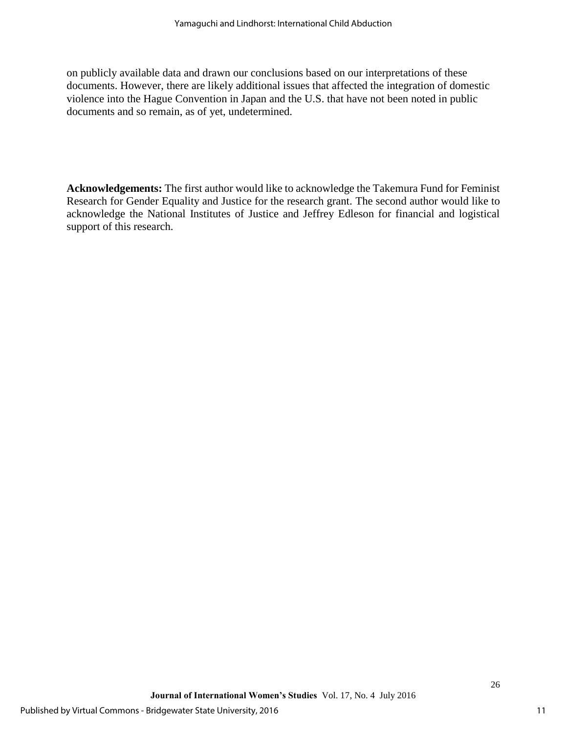on publicly available data and drawn our conclusions based on our interpretations of these documents. However, there are likely additional issues that affected the integration of domestic violence into the Hague Convention in Japan and the U.S. that have not been noted in public documents and so remain, as of yet, undetermined.

**Acknowledgements:** The first author would like to acknowledge the Takemura Fund for Feminist Research for Gender Equality and Justice for the research grant. The second author would like to acknowledge the National Institutes of Justice and Jeffrey Edleson for financial and logistical support of this research.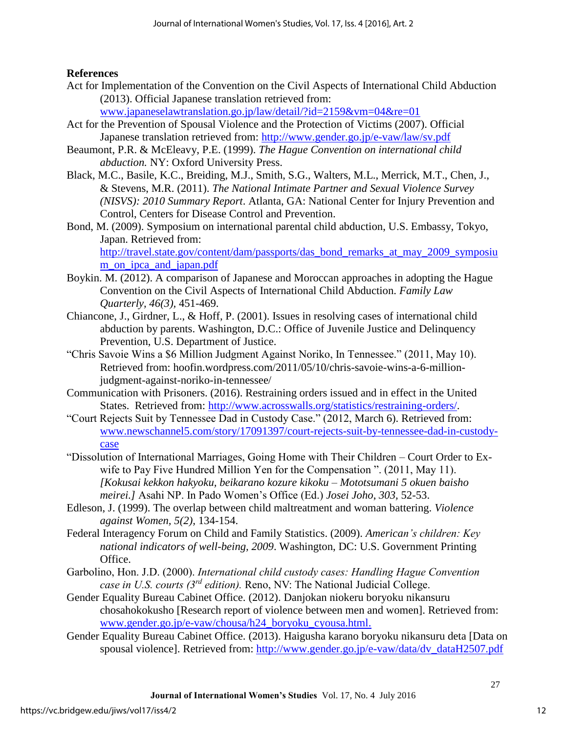## **References**

- Act for Implementation of the Convention on the Civil Aspects of International Child Abduction (2013). Official Japanese translation retrieved from: [www.japaneselawtranslation.go.jp/law/detail/?id=2159&vm=04&re=01](http://www.japaneselawtranslation.go.jp/law/detail/?id=2159&vm=04&re=01)
- Act for the Prevention of Spousal Violence and the Protection of Victims (2007). Official Japanese translation retrieved from:<http://www.gender.go.jp/e-vaw/law/sv.pdf>
- Beaumont, P.R. & McEleavy, P.E. (1999). *The Hague Convention on international child abduction.* NY: Oxford University Press.
- Black, M.C., Basile, K.C., Breiding, M.J., Smith, S.G., Walters, M.L., Merrick, M.T., Chen, J., & Stevens, M.R. (2011). *The National Intimate Partner and Sexual Violence Survey (NISVS): 2010 Summary Report*. Atlanta, GA: National Center for Injury Prevention and Control, Centers for Disease Control and Prevention.
- Bond, M. (2009). Symposium on international parental child abduction, U.S. Embassy, Tokyo, Japan. Retrieved from: [http://travel.state.gov/content/dam/passports/das\\_bond\\_remarks\\_at\\_may\\_2009\\_symposiu](http://travel.state.gov/content/dam/passports/das_bond_remarks_at_may_2009_symposium_on_ipca_and_japan.pdf) [m\\_on\\_ipca\\_and\\_japan.pdf](http://travel.state.gov/content/dam/passports/das_bond_remarks_at_may_2009_symposium_on_ipca_and_japan.pdf)
- Boykin. M. (2012). A comparison of Japanese and Moroccan approaches in adopting the Hague Convention on the Civil Aspects of International Child Abduction. *Family Law Quarterly, 46(3),* 451-469.
- Chiancone, J., Girdner, L., & Hoff, P. (2001). Issues in resolving cases of international child abduction by parents. Washington, D.C.: Office of Juvenile Justice and Delinquency Prevention, U.S. Department of Justice.
- "Chris Savoie Wins a \$6 Million Judgment Against Noriko, In Tennessee." (2011, May 10). Retrieved from: hoofin.wordpress.com/2011/05/10/chris-savoie-wins-a-6-millionjudgment-against-noriko-in-tennessee/
- Communication with Prisoners. (2016). Restraining orders issued and in effect in the United States. Retrieved from: [http://www.acrosswalls.org/statistics/restraining-orders/.](http://www.acrosswalls.org/statistics/restraining-orders/)
- "Court Rejects Suit by Tennessee Dad in Custody Case." (2012, March 6). Retrieved from: [www.newschannel5.com/story/17091397/court-rejects-suit-by-tennessee-dad-in-custody](http://www.newschannel5.com/story/17091397/court-rejects-suit-by-tennessee-dad-in-custody-case)[case](http://www.newschannel5.com/story/17091397/court-rejects-suit-by-tennessee-dad-in-custody-case)
- "Dissolution of International Marriages, Going Home with Their Children Court Order to Exwife to Pay Five Hundred Million Yen for the Compensation ". (2011, May 11). *[Kokusai kekkon hakyoku, beikarano kozure kikoku – Mototsumani 5 okuen baisho meirei.]* Asahi NP. In Pado Women's Office (Ed.) *Josei Joho*, *303,* 52-53.
- Edleson, J. (1999). The overlap between child maltreatment and woman battering. *Violence against Women, 5(2),* 134-154.
- Federal Interagency Forum on Child and Family Statistics. (2009). *American's children: Key national indicators of well-being, 2009*. Washington, DC: U.S. Government Printing Office.
- Garbolino, Hon. J.D. (2000). *International child custody cases: Handling Hague Convention case in U.S. courts (3rd edition).* Reno, NV: The National Judicial College.
- Gender Equality Bureau Cabinet Office. (2012). Danjokan niokeru boryoku nikansuru chosahokokusho [Research report of violence between men and women]. Retrieved from: [www.gender.go.jp/e-vaw/chousa/h24\\_boryoku\\_cyousa.html.](http://www.gender.go.jp/e-vaw/chousa/h24_boryoku_cyousa.html)
- Gender Equality Bureau Cabinet Office. (2013). Haigusha karano boryoku nikansuru deta [Data on spousal violence]. Retrieved from: [http://www.gender.go.jp/e-vaw/data/dv\\_dataH2507.pdf](http://www.gender.go.jp/e-vaw/data/dv_dataH2507.pdf)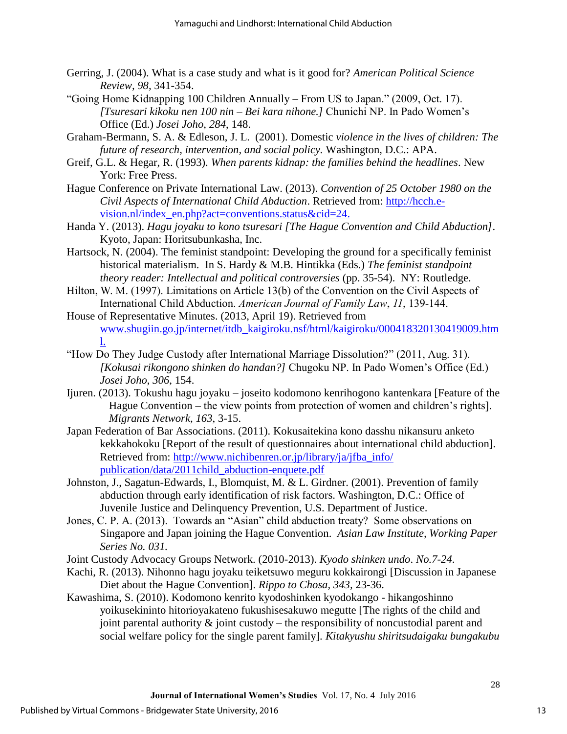- Gerring, J. (2004). What is a case study and what is it good for? *American Political Science Review, 98,* 341-354.
- "Going Home Kidnapping 100 Children Annually From US to Japan." (2009, Oct. 17). *[Tsuresari kikoku nen 100 nin – Bei kara nihone.]* Chunichi NP. In Pado Women's Office (Ed.) *Josei Joho*, *284*, 148.
- Graham-Bermann, S. A. & Edleson, J. L. (2001). Domestic *violence in the lives of children: The future of research, intervention, and social policy.* Washington, D.C.: APA.
- Greif, G.L. & Hegar, R. (1993). *When parents kidnap: the families behind the headlines*. New York: Free Press.
- Hague Conference on Private International Law. (2013). *Convention of 25 October 1980 on the Civil Aspects of International Child Abduction*. Retrieved from: [http://hcch.e](http://hcch.e-vision.nl/index_en.php?act=conventions.status&cid=24)[vision.nl/index\\_en.php?act=conventions.status&cid=24.](http://hcch.e-vision.nl/index_en.php?act=conventions.status&cid=24)
- Handa Y. (2013). *Hagu joyaku to kono tsuresari [The Hague Convention and Child Abduction]*. Kyoto, Japan: Horitsubunkasha, Inc.
- Hartsock, N. (2004). The feminist standpoint: Developing the ground for a specifically feminist historical materialism. In S. Hardy & M.B. Hintikka (Eds.) *The feminist standpoint theory reader: Intellectual and political controversies* (pp. 35-54). NY: Routledge.
- Hilton, W. M. (1997). Limitations on Article 13(b) of the Convention on the Civil Aspects of International Child Abduction. *American Journal of Family Law*, *11*, 139-144.
- House of Representative Minutes. (2013, April 19). Retrieved from [www.shugiin.go.jp/internet/itdb\\_kaigiroku.nsf/html/kaigiroku/000418320130419009.htm](http://www.shugiin.go.jp/internet/itdb_kaigiroku.nsf/html/kaigiroku/000418320130419009.htm) l.
- "How Do They Judge Custody after International Marriage Dissolution?" (2011, Aug. 31). *[Kokusai rikongono shinken do handan?]* Chugoku NP. In Pado Women's Office (Ed.) *Josei Joho*, *306*, 154.
- Ijuren. (2013). Tokushu hagu joyaku joseito kodomono kenrihogono kantenkara [Feature of the Hague Convention – the view points from protection of women and children's rights]. *Migrants Network*, *163*, 3-15.
- Japan Federation of Bar Associations. (2011). Kokusaitekina kono dasshu nikansuru anketo kekkahokoku [Report of the result of questionnaires about international child abduction]. Retrieved from: [http://www.nichibenren.or.jp/library/ja/jfba\\_info/](http://www.nichibenren.or.jp/library/ja/jfba_info/%20publication/data/2011child_abduction-enquete.pdf)  [publication/data/2011child\\_abduction-enquete.pdf](http://www.nichibenren.or.jp/library/ja/jfba_info/%20publication/data/2011child_abduction-enquete.pdf)
- Johnston, J., Sagatun-Edwards, I., Blomquist, M. & L. Girdner. (2001). Prevention of family abduction through early identification of risk factors. Washington, D.C.: Office of Juvenile Justice and Delinquency Prevention, U.S. Department of Justice.
- Jones, C. P. A. (2013). Towards an "Asian" child abduction treaty? Some observations on Singapore and Japan joining the Hague Convention. *Asian Law Institute, Working Paper Series No. 031.*
- Joint Custody Advocacy Groups Network. (2010-2013). *Kyodo shinken undo*. *No.7-24*.
- Kachi, R. (2013). Nihonno hagu joyaku teiketsuwo meguru kokkairongi [Discussion in Japanese Diet about the Hague Convention]. *Rippo to Chosa, 343,* 23-36.
- Kawashima, S. (2010). Kodomono kenrito kyodoshinken kyodokango hikangoshinno yoikusekininto hitorioyakateno fukushisesakuwo megutte [The rights of the child and joint parental authority  $\&$  joint custody – the responsibility of noncustodial parent and social welfare policy for the single parent family]. *Kitakyushu shiritsudaigaku bungakubu*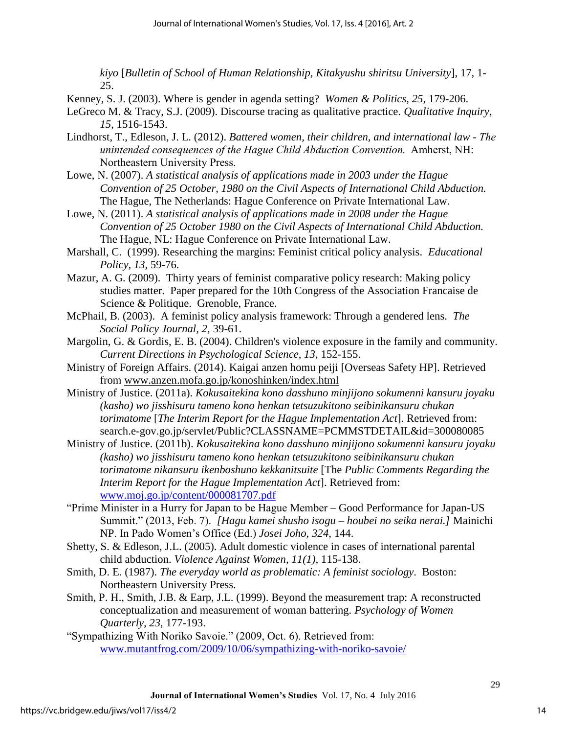*kiyo* [*Bulletin of School of Human Relationship, Kitakyushu shiritsu University*], 17, 1- 25.

- Kenney, S. J. (2003). Where is gender in agenda setting? *Women & Politics, 25,* 179-206.
- LeGreco M. & Tracy, S.J. (2009). Discourse tracing as qualitative practice. *Qualitative Inquiry, 15,* 1516-1543.
- Lindhorst, T., Edleson, J. L. (2012). *Battered women, their children, and international law - The unintended consequences of the Hague Child Abduction Convention.* Amherst, NH: Northeastern University Press.
- Lowe, N. (2007). *A statistical analysis of applications made in 2003 under the Hague Convention of 25 October, 1980 on the Civil Aspects of International Child Abduction.* The Hague, The Netherlands: Hague Conference on Private International Law.
- Lowe, N. (2011). *A statistical analysis of applications made in 2008 under the Hague Convention of 25 October 1980 on the Civil Aspects of International Child Abduction.*  The Hague, NL: Hague Conference on Private International Law.
- Marshall, C. (1999). Researching the margins: Feminist critical policy analysis. *Educational Policy, 13,* 59-76.
- Mazur, A. G. (2009). Thirty years of feminist comparative policy research: Making policy studies matter. Paper prepared for the 10th Congress of the Association Francaise de Science & Politique. Grenoble, France.
- McPhail, B. (2003). A feminist policy analysis framework: Through a gendered lens. *The Social Policy Journal, 2,* 39-61.
- Margolin, G. & Gordis, E. B. (2004). Children's violence exposure in the family and community. *Current Directions in Psychological Science, 13,* 152-155.
- Ministry of Foreign Affairs. (2014). Kaigai anzen homu peiji [Overseas Safety HP]. Retrieved from www.anzen.mofa.go.jp/konoshinken/index.html
- Ministry of Justice. (2011a). *Kokusaitekina kono dasshuno minjijono sokumenni kansuru joyaku (kasho) wo jisshisuru tameno kono henkan tetsuzukitono seibinikansuru chukan torimatome* [*The Interim Report for the Hague Implementation Act*]. Retrieved from: search.e-gov.go.jp/servlet/Public?CLASSNAME=PCMMSTDETAIL&id=300080085
- Ministry of Justice. (2011b). *Kokusaitekina kono dasshuno minjijono sokumenni kansuru joyaku (kasho) wo jisshisuru tameno kono henkan tetsuzukitono seibinikansuru chukan torimatome nikansuru ikenboshuno kekkanitsuite* [The *Public Comments Regarding the Interim Report for the Hague Implementation Act*]. Retrieved from: [www.moj.go.jp/content/000081707.pdf](http://www.moj.go.jp/content/000081707.pdf)
- "Prime Minister in a Hurry for Japan to be Hague Member Good Performance for Japan-US Summit." (2013, Feb. 7). *[Hagu kamei shusho isogu – houbei no seika nerai.]* Mainichi NP. In Pado Women's Office (Ed.) *Josei Joho*, *324*, 144.
- Shetty, S. & Edleson, J.L. (2005). Adult domestic violence in cases of international parental child abduction. *Violence Against Women*, *11(1),* 115-138.
- Smith, D. E. (1987). *The everyday world as problematic: A feminist sociology*. Boston: Northeastern University Press.
- Smith, P. H., Smith, J.B. & Earp, J.L. (1999). Beyond the measurement trap: A reconstructed conceptualization and measurement of woman battering. *Psychology of Women Quarterly, 23,* 177-193.
- "Sympathizing With Noriko Savoie." (2009, Oct. 6). Retrieved from: [www.mutantfrog.com/2009/10/06/sympathizing-with-noriko-savoie/](http://www.mutantfrog.com/2009/10/06/sympathizing-with-noriko-savoie/)